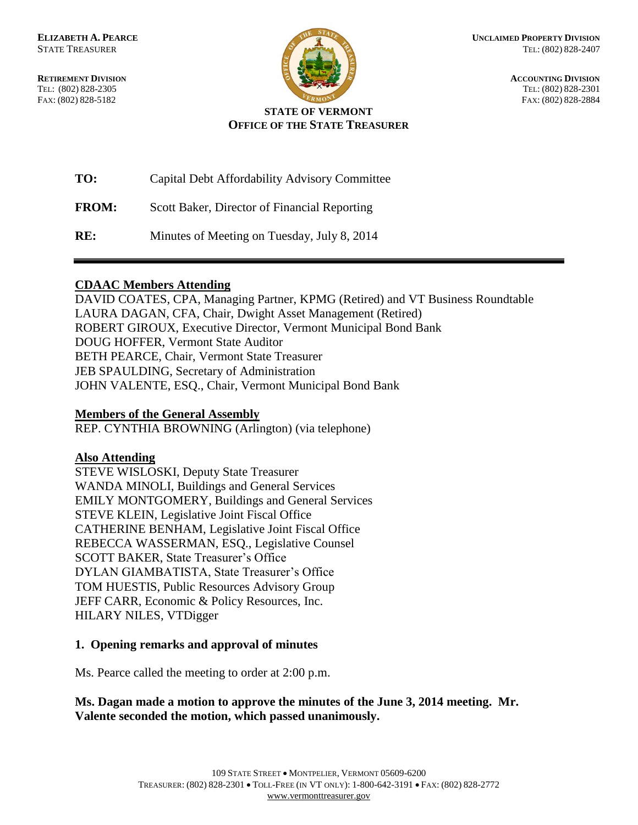FAX: (802) 828-5182



**RETIREMENT DIVISION**<br> **RETIREMENT DIVISION**<br> **ACCOUNTING DIVISION**<br> **REL:** (802) 828-2305 TEL: (802) 828-2305<br>
FAX: (802) 828-2305<br>
FAX: (802) 828-2384<br>
FAX: (802) 828-2884

#### **STATE OF VERMONT OFFICE OF THE STATE TREASURER**

| TO:          | Capital Debt Affordability Advisory Committee |
|--------------|-----------------------------------------------|
| <b>FROM:</b> | Scott Baker, Director of Financial Reporting  |
| RE:          | Minutes of Meeting on Tuesday, July 8, 2014   |

### **CDAAC Members Attending**

DAVID COATES, CPA, Managing Partner, KPMG (Retired) and VT Business Roundtable LAURA DAGAN, CFA, Chair, Dwight Asset Management (Retired) ROBERT GIROUX, Executive Director, Vermont Municipal Bond Bank DOUG HOFFER, Vermont State Auditor BETH PEARCE, Chair, Vermont State Treasurer JEB SPAULDING, Secretary of Administration JOHN VALENTE, ESQ., Chair, Vermont Municipal Bond Bank

### **Members of the General Assembly**

REP. CYNTHIA BROWNING (Arlington) (via telephone)

### **Also Attending**

STEVE WISLOSKI, Deputy State Treasurer WANDA MINOLI, Buildings and General Services EMILY MONTGOMERY, Buildings and General Services STEVE KLEIN, Legislative Joint Fiscal Office CATHERINE BENHAM, Legislative Joint Fiscal Office REBECCA WASSERMAN, ESQ., Legislative Counsel SCOTT BAKER, State Treasurer's Office DYLAN GIAMBATISTA, State Treasurer's Office TOM HUESTIS, Public Resources Advisory Group JEFF CARR, Economic & Policy Resources, Inc. HILARY NILES, VTDigger

### **1. Opening remarks and approval of minutes**

Ms. Pearce called the meeting to order at 2:00 p.m.

### **Ms. Dagan made a motion to approve the minutes of the June 3, 2014 meeting. Mr. Valente seconded the motion, which passed unanimously.**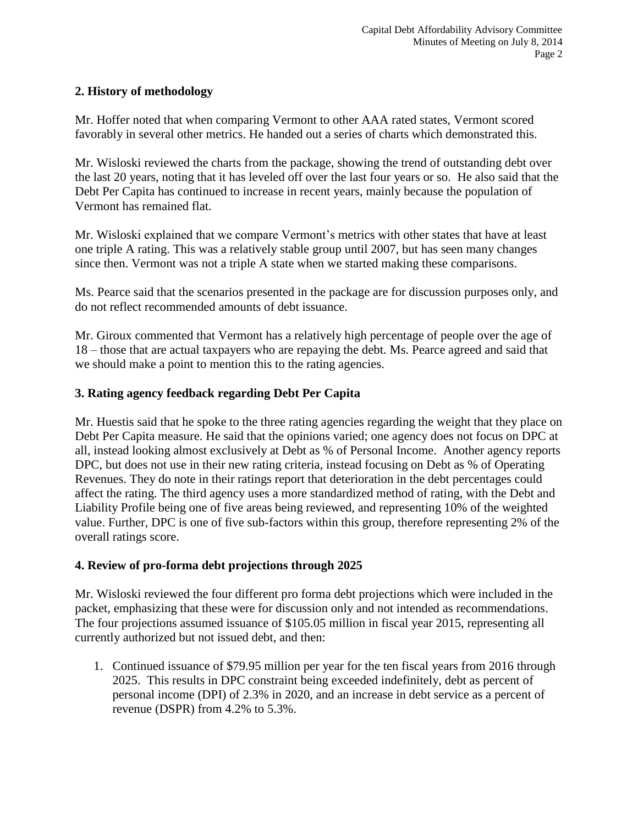## **2. History of methodology**

Mr. Hoffer noted that when comparing Vermont to other AAA rated states, Vermont scored favorably in several other metrics. He handed out a series of charts which demonstrated this.

Mr. Wisloski reviewed the charts from the package, showing the trend of outstanding debt over the last 20 years, noting that it has leveled off over the last four years or so. He also said that the Debt Per Capita has continued to increase in recent years, mainly because the population of Vermont has remained flat.

Mr. Wisloski explained that we compare Vermont's metrics with other states that have at least one triple A rating. This was a relatively stable group until 2007, but has seen many changes since then. Vermont was not a triple A state when we started making these comparisons.

Ms. Pearce said that the scenarios presented in the package are for discussion purposes only, and do not reflect recommended amounts of debt issuance.

Mr. Giroux commented that Vermont has a relatively high percentage of people over the age of 18 – those that are actual taxpayers who are repaying the debt. Ms. Pearce agreed and said that we should make a point to mention this to the rating agencies.

# **3. Rating agency feedback regarding Debt Per Capita**

Mr. Huestis said that he spoke to the three rating agencies regarding the weight that they place on Debt Per Capita measure. He said that the opinions varied; one agency does not focus on DPC at all, instead looking almost exclusively at Debt as % of Personal Income. Another agency reports DPC, but does not use in their new rating criteria, instead focusing on Debt as % of Operating Revenues. They do note in their ratings report that deterioration in the debt percentages could affect the rating. The third agency uses a more standardized method of rating, with the Debt and Liability Profile being one of five areas being reviewed, and representing 10% of the weighted value. Further, DPC is one of five sub-factors within this group, therefore representing 2% of the overall ratings score.

### **4. Review of pro-forma debt projections through 2025**

Mr. Wisloski reviewed the four different pro forma debt projections which were included in the packet, emphasizing that these were for discussion only and not intended as recommendations. The four projections assumed issuance of \$105.05 million in fiscal year 2015, representing all currently authorized but not issued debt, and then:

1. Continued issuance of \$79.95 million per year for the ten fiscal years from 2016 through 2025. This results in DPC constraint being exceeded indefinitely, debt as percent of personal income (DPI) of 2.3% in 2020, and an increase in debt service as a percent of revenue (DSPR) from 4.2% to 5.3%.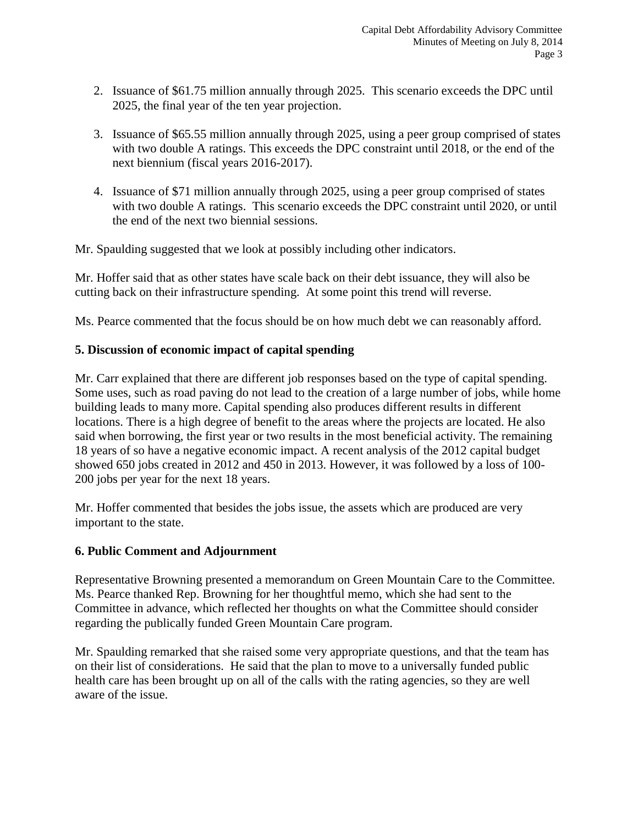- 2. Issuance of \$61.75 million annually through 2025. This scenario exceeds the DPC until 2025, the final year of the ten year projection.
- 3. Issuance of \$65.55 million annually through 2025, using a peer group comprised of states with two double A ratings. This exceeds the DPC constraint until 2018, or the end of the next biennium (fiscal years 2016-2017).
- 4. Issuance of \$71 million annually through 2025, using a peer group comprised of states with two double A ratings. This scenario exceeds the DPC constraint until 2020, or until the end of the next two biennial sessions.

Mr. Spaulding suggested that we look at possibly including other indicators.

Mr. Hoffer said that as other states have scale back on their debt issuance, they will also be cutting back on their infrastructure spending. At some point this trend will reverse.

Ms. Pearce commented that the focus should be on how much debt we can reasonably afford.

# **5. Discussion of economic impact of capital spending**

Mr. Carr explained that there are different job responses based on the type of capital spending. Some uses, such as road paving do not lead to the creation of a large number of jobs, while home building leads to many more. Capital spending also produces different results in different locations. There is a high degree of benefit to the areas where the projects are located. He also said when borrowing, the first year or two results in the most beneficial activity. The remaining 18 years of so have a negative economic impact. A recent analysis of the 2012 capital budget showed 650 jobs created in 2012 and 450 in 2013. However, it was followed by a loss of 100- 200 jobs per year for the next 18 years.

Mr. Hoffer commented that besides the jobs issue, the assets which are produced are very important to the state.

### **6. Public Comment and Adjournment**

Representative Browning presented a memorandum on Green Mountain Care to the Committee. Ms. Pearce thanked Rep. Browning for her thoughtful memo, which she had sent to the Committee in advance, which reflected her thoughts on what the Committee should consider regarding the publically funded Green Mountain Care program.

Mr. Spaulding remarked that she raised some very appropriate questions, and that the team has on their list of considerations. He said that the plan to move to a universally funded public health care has been brought up on all of the calls with the rating agencies, so they are well aware of the issue.